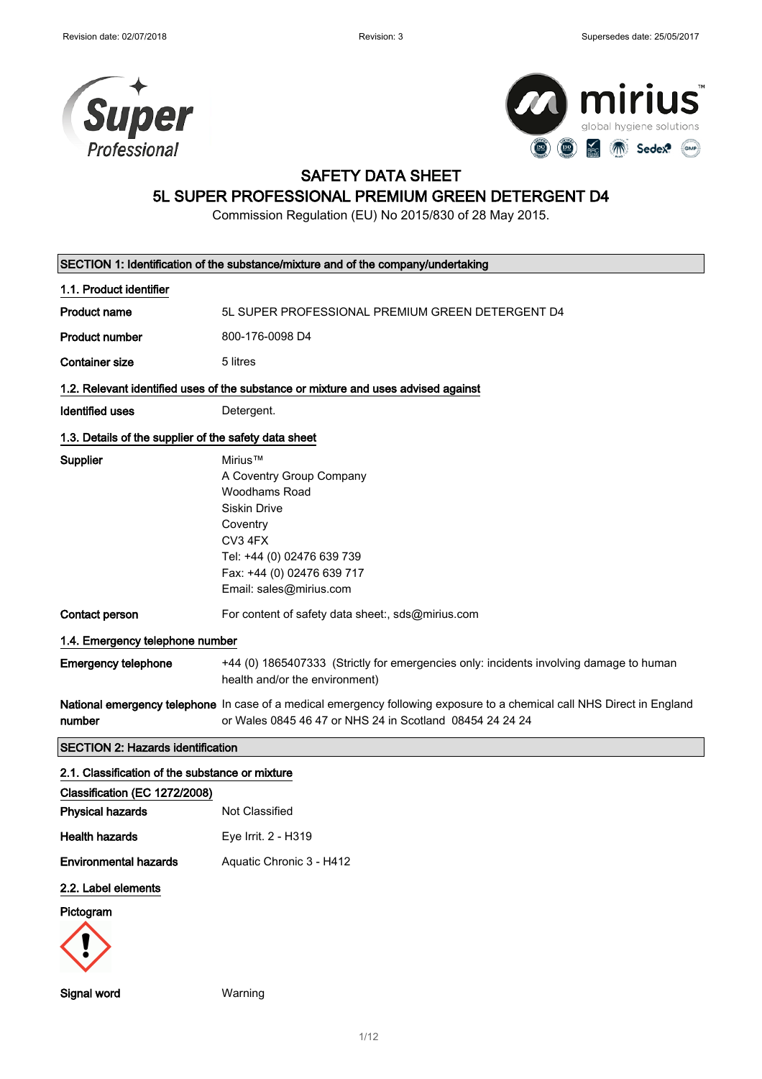

Signal word Warning



### SAFETY DATA SHEET

## 5L SUPER PROFESSIONAL PREMIUM GREEN DETERGENT D4

Commission Regulation (EU) No 2015/830 of 28 May 2015.

| SECTION 1: Identification of the substance/mixture and of the company/undertaking |                                                                                                                                                                                           |  |
|-----------------------------------------------------------------------------------|-------------------------------------------------------------------------------------------------------------------------------------------------------------------------------------------|--|
| 1.1. Product identifier                                                           |                                                                                                                                                                                           |  |
| <b>Product name</b>                                                               | 5L SUPER PROFESSIONAL PREMIUM GREEN DETERGENT D4                                                                                                                                          |  |
| <b>Product number</b>                                                             | 800-176-0098 D4                                                                                                                                                                           |  |
| <b>Container size</b>                                                             | 5 litres                                                                                                                                                                                  |  |
|                                                                                   | 1.2. Relevant identified uses of the substance or mixture and uses advised against                                                                                                        |  |
| <b>Identified uses</b>                                                            | Detergent.                                                                                                                                                                                |  |
| 1.3. Details of the supplier of the safety data sheet                             |                                                                                                                                                                                           |  |
| Supplier                                                                          | Mirius™<br>A Coventry Group Company<br>Woodhams Road<br><b>Siskin Drive</b><br>Coventry<br>CV3 4FX<br>Tel: +44 (0) 02476 639 739<br>Fax: +44 (0) 02476 639 717<br>Email: sales@mirius.com |  |
| Contact person                                                                    | For content of safety data sheet:, sds@mirius.com                                                                                                                                         |  |
| 1.4. Emergency telephone number                                                   |                                                                                                                                                                                           |  |
| <b>Emergency telephone</b>                                                        | +44 (0) 1865407333 (Strictly for emergencies only: incidents involving damage to human<br>health and/or the environment)                                                                  |  |
| number                                                                            | National emergency telephone In case of a medical emergency following exposure to a chemical call NHS Direct in England<br>or Wales 0845 46 47 or NHS 24 in Scotland 08454 24 24 24       |  |
| <b>SECTION 2: Hazards identification</b>                                          |                                                                                                                                                                                           |  |
| 2.1. Classification of the substance or mixture                                   |                                                                                                                                                                                           |  |
| Classification (EC 1272/2008)                                                     |                                                                                                                                                                                           |  |
| <b>Physical hazards</b>                                                           | Not Classified                                                                                                                                                                            |  |
| <b>Health hazards</b>                                                             | Eye Irrit. 2 - H319                                                                                                                                                                       |  |
| <b>Environmental hazards</b>                                                      | Aquatic Chronic 3 - H412                                                                                                                                                                  |  |
| 2.2. Label elements                                                               |                                                                                                                                                                                           |  |
| Pictogram                                                                         |                                                                                                                                                                                           |  |

1/ 12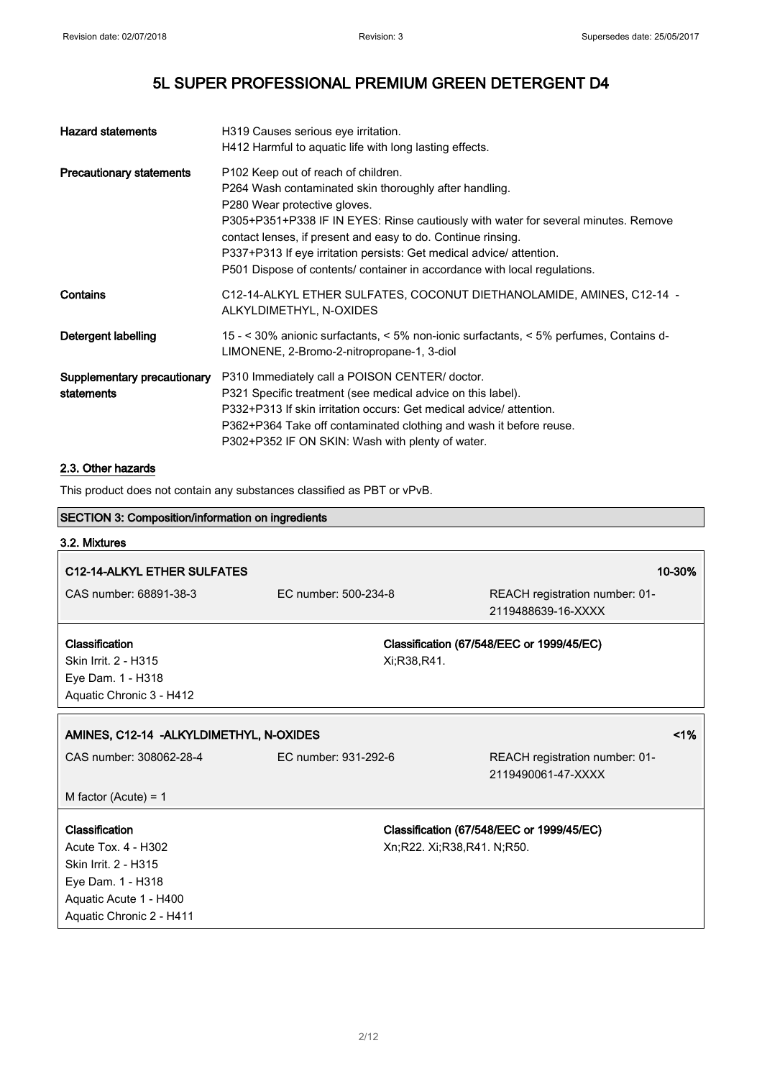| <b>Hazard statements</b>                  | H319 Causes serious eye irritation.<br>H412 Harmful to aquatic life with long lasting effects.                                                                                                                                                                                                                                                                                                                                           |
|-------------------------------------------|------------------------------------------------------------------------------------------------------------------------------------------------------------------------------------------------------------------------------------------------------------------------------------------------------------------------------------------------------------------------------------------------------------------------------------------|
| <b>Precautionary statements</b>           | P102 Keep out of reach of children.<br>P264 Wash contaminated skin thoroughly after handling.<br>P280 Wear protective gloves.<br>P305+P351+P338 IF IN EYES: Rinse cautiously with water for several minutes. Remove<br>contact lenses, if present and easy to do. Continue rinsing.<br>P337+P313 If eye irritation persists: Get medical advice/ attention.<br>P501 Dispose of contents/ container in accordance with local regulations. |
| Contains                                  | C12-14-ALKYL ETHER SULFATES, COCONUT DIETHANOLAMIDE, AMINES, C12-14 -<br>ALKYLDIMETHYL, N-OXIDES                                                                                                                                                                                                                                                                                                                                         |
| Detergent labelling                       | 15 - < 30% anionic surfactants, < 5% non-ionic surfactants, < 5% perfumes, Contains d-<br>LIMONENE, 2-Bromo-2-nitropropane-1, 3-diol                                                                                                                                                                                                                                                                                                     |
| Supplementary precautionary<br>statements | P310 Immediately call a POISON CENTER/ doctor.<br>P321 Specific treatment (see medical advice on this label).<br>P332+P313 If skin irritation occurs: Get medical advice/attention.<br>P362+P364 Take off contaminated clothing and wash it before reuse.<br>P302+P352 IF ON SKIN: Wash with plenty of water.                                                                                                                            |

### 2.3. Other hazards

This product does not contain any substances classified as PBT or vPvB.

| <b>SECTION 3: Composition/information on ingredients</b> |                      |                                                      |
|----------------------------------------------------------|----------------------|------------------------------------------------------|
| 3.2. Mixtures                                            |                      |                                                      |
| C12-14-ALKYL ETHER SULFATES                              |                      | 10-30%                                               |
| CAS number: 68891-38-3                                   | EC number: 500-234-8 | REACH registration number: 01-<br>2119488639-16-XXXX |
| Classification                                           |                      | Classification (67/548/EEC or 1999/45/EC)            |
| Skin Irrit. 2 - H315                                     | Xi;R38,R41.          |                                                      |
| Eye Dam. 1 - H318                                        |                      |                                                      |
| Aquatic Chronic 3 - H412                                 |                      |                                                      |
| AMINES, C12-14 - ALKYLDIMETHYL, N-OXIDES                 |                      | 1%                                                   |
| CAS number: 308062-28-4                                  | EC number: 931-292-6 | REACH registration number: 01-<br>2119490061-47-XXXX |
| M factor (Acute) = $1$                                   |                      |                                                      |
| Classification                                           |                      | Classification (67/548/EEC or 1999/45/EC)            |
| Acute Tox. 4 - H302                                      |                      | Xn;R22. Xi;R38,R41. N;R50.                           |
| Skin Irrit. 2 - H315                                     |                      |                                                      |
| Eye Dam. 1 - H318                                        |                      |                                                      |
| Aquatic Acute 1 - H400                                   |                      |                                                      |
| Aquatic Chronic 2 - H411                                 |                      |                                                      |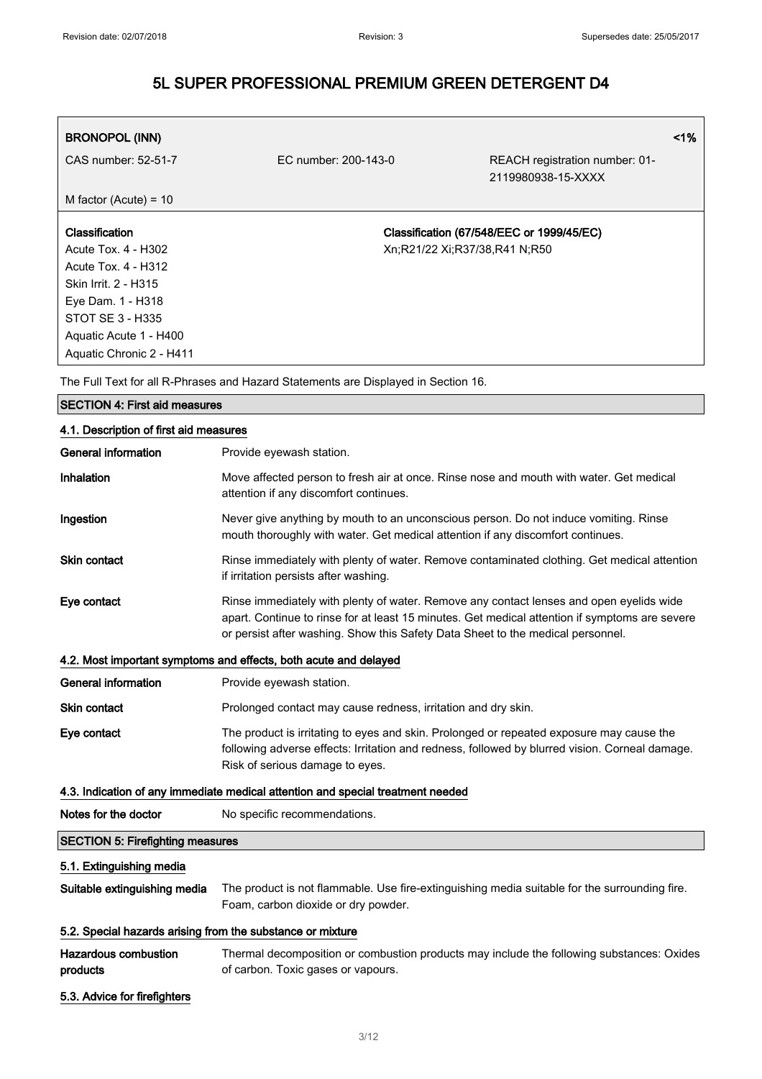| <b>BRONOPOL (INN)</b>      |                               |                                                      | $1\%$ |
|----------------------------|-------------------------------|------------------------------------------------------|-------|
| CAS number: 52-51-7        | EC number: 200-143-0          | REACH registration number: 01-<br>2119980938-15-XXXX |       |
| M factor (Acute) = $10$    |                               |                                                      |       |
|                            |                               |                                                      |       |
| <b>Classification</b>      |                               | Classification (67/548/EEC or 1999/45/EC)            |       |
| Acute Tox. 4 - H302        | Xn;R21/22 Xi;R37/38,R41 N;R50 |                                                      |       |
| <b>Acute Tox. 4 - H312</b> |                               |                                                      |       |
| Skin Irrit. 2 - H315       |                               |                                                      |       |
| Eye Dam. 1 - H318          |                               |                                                      |       |
| STOT SE 3 - H335           |                               |                                                      |       |
| Aquatic Acute 1 - H400     |                               |                                                      |       |
| Aquatic Chronic 2 - H411   |                               |                                                      |       |

The Full Text for all R-Phrases and Hazard Statements are Displayed in Section 16.

| <b>SECTION 4: First aid measures</b>                                            |                                                                                                                                                                                                                                                                              |  |  |
|---------------------------------------------------------------------------------|------------------------------------------------------------------------------------------------------------------------------------------------------------------------------------------------------------------------------------------------------------------------------|--|--|
| 4.1. Description of first aid measures                                          |                                                                                                                                                                                                                                                                              |  |  |
| <b>General information</b>                                                      | Provide eyewash station.                                                                                                                                                                                                                                                     |  |  |
| Inhalation                                                                      | Move affected person to fresh air at once. Rinse nose and mouth with water. Get medical<br>attention if any discomfort continues.                                                                                                                                            |  |  |
| Ingestion                                                                       | Never give anything by mouth to an unconscious person. Do not induce vomiting. Rinse<br>mouth thoroughly with water. Get medical attention if any discomfort continues.                                                                                                      |  |  |
| <b>Skin contact</b>                                                             | Rinse immediately with plenty of water. Remove contaminated clothing. Get medical attention<br>if irritation persists after washing.                                                                                                                                         |  |  |
| Eye contact                                                                     | Rinse immediately with plenty of water. Remove any contact lenses and open eyelids wide<br>apart. Continue to rinse for at least 15 minutes. Get medical attention if symptoms are severe<br>or persist after washing. Show this Safety Data Sheet to the medical personnel. |  |  |
|                                                                                 | 4.2. Most important symptoms and effects, both acute and delayed                                                                                                                                                                                                             |  |  |
| <b>General information</b>                                                      | Provide eyewash station.                                                                                                                                                                                                                                                     |  |  |
| <b>Skin contact</b>                                                             | Prolonged contact may cause redness, irritation and dry skin.                                                                                                                                                                                                                |  |  |
| Eye contact                                                                     | The product is irritating to eyes and skin. Prolonged or repeated exposure may cause the<br>following adverse effects: Irritation and redness, followed by blurred vision. Corneal damage.<br>Risk of serious damage to eyes.                                                |  |  |
| 4.3. Indication of any immediate medical attention and special treatment needed |                                                                                                                                                                                                                                                                              |  |  |
| Notes for the doctor                                                            | No specific recommendations.                                                                                                                                                                                                                                                 |  |  |
| <b>SECTION 5: Firefighting measures</b>                                         |                                                                                                                                                                                                                                                                              |  |  |
| 5.1. Extinguishing media                                                        |                                                                                                                                                                                                                                                                              |  |  |
| Suitable extinguishing media                                                    | The product is not flammable. Use fire-extinguishing media suitable for the surrounding fire.<br>Foam, carbon dioxide or dry powder.                                                                                                                                         |  |  |
|                                                                                 | 5.2. Special hazards arising from the substance or mixture                                                                                                                                                                                                                   |  |  |
| <b>Hazardous combustion</b><br>products                                         | Thermal decomposition or combustion products may include the following substances: Oxides<br>of carbon. Toxic gases or vapours.                                                                                                                                              |  |  |
| 5.3. Advice for firefighters                                                    |                                                                                                                                                                                                                                                                              |  |  |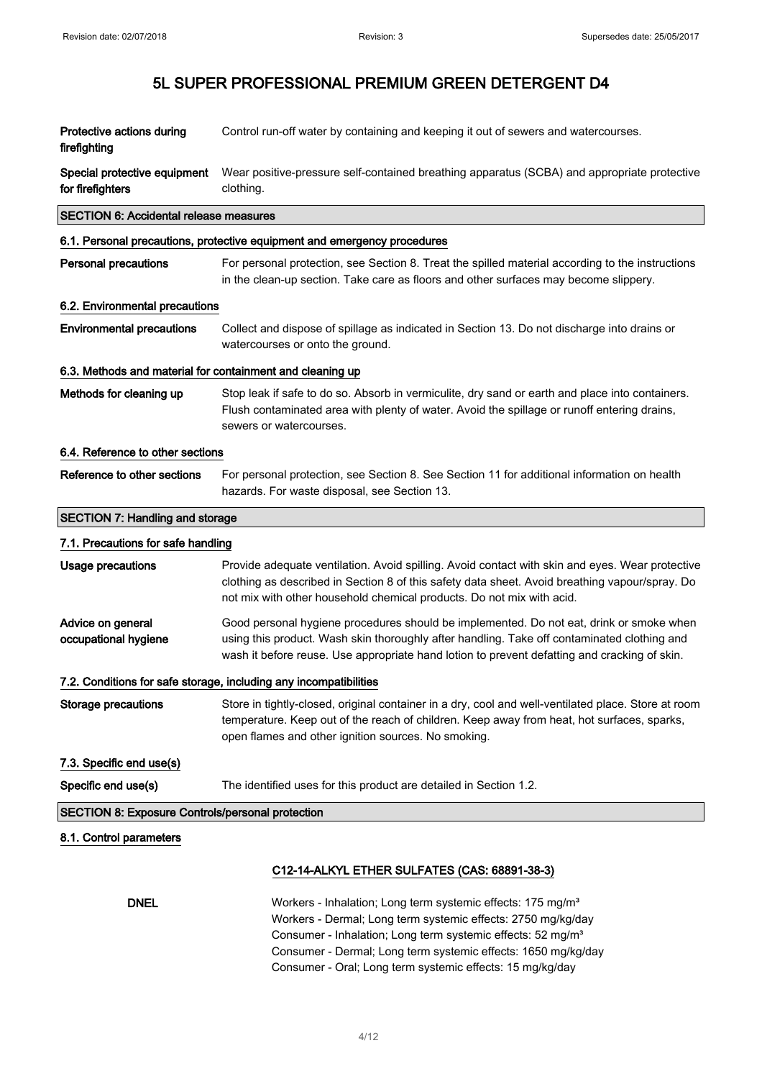| Protective actions during<br>firefighting                 | Control run-off water by containing and keeping it out of sewers and watercourses.                                                                                                                                                                                                                                                               |  |
|-----------------------------------------------------------|--------------------------------------------------------------------------------------------------------------------------------------------------------------------------------------------------------------------------------------------------------------------------------------------------------------------------------------------------|--|
| Special protective equipment<br>for firefighters          | Wear positive-pressure self-contained breathing apparatus (SCBA) and appropriate protective<br>clothing.                                                                                                                                                                                                                                         |  |
| <b>SECTION 6: Accidental release measures</b>             |                                                                                                                                                                                                                                                                                                                                                  |  |
|                                                           | 6.1. Personal precautions, protective equipment and emergency procedures                                                                                                                                                                                                                                                                         |  |
| <b>Personal precautions</b>                               | For personal protection, see Section 8. Treat the spilled material according to the instructions<br>in the clean-up section. Take care as floors and other surfaces may become slippery.                                                                                                                                                         |  |
| 6.2. Environmental precautions                            |                                                                                                                                                                                                                                                                                                                                                  |  |
| <b>Environmental precautions</b>                          | Collect and dispose of spillage as indicated in Section 13. Do not discharge into drains or<br>watercourses or onto the ground.                                                                                                                                                                                                                  |  |
| 6.3. Methods and material for containment and cleaning up |                                                                                                                                                                                                                                                                                                                                                  |  |
| Methods for cleaning up                                   | Stop leak if safe to do so. Absorb in vermiculite, dry sand or earth and place into containers.<br>Flush contaminated area with plenty of water. Avoid the spillage or runoff entering drains,<br>sewers or watercourses.                                                                                                                        |  |
| 6.4. Reference to other sections                          |                                                                                                                                                                                                                                                                                                                                                  |  |
| Reference to other sections                               | For personal protection, see Section 8. See Section 11 for additional information on health<br>hazards. For waste disposal, see Section 13.                                                                                                                                                                                                      |  |
| <b>SECTION 7: Handling and storage</b>                    |                                                                                                                                                                                                                                                                                                                                                  |  |
| 7.1. Precautions for safe handling                        |                                                                                                                                                                                                                                                                                                                                                  |  |
| <b>Usage precautions</b>                                  | Provide adequate ventilation. Avoid spilling. Avoid contact with skin and eyes. Wear protective<br>clothing as described in Section 8 of this safety data sheet. Avoid breathing vapour/spray. Do<br>not mix with other household chemical products. Do not mix with acid.                                                                       |  |
| Advice on general<br>occupational hygiene                 | Good personal hygiene procedures should be implemented. Do not eat, drink or smoke when<br>using this product. Wash skin thoroughly after handling. Take off contaminated clothing and<br>wash it before reuse. Use appropriate hand lotion to prevent defatting and cracking of skin.                                                           |  |
|                                                           | 7.2. Conditions for safe storage, including any incompatibilities                                                                                                                                                                                                                                                                                |  |
| Storage precautions                                       | Store in tightly-closed, original container in a dry, cool and well-ventilated place. Store at room<br>temperature. Keep out of the reach of children. Keep away from heat, hot surfaces, sparks,<br>open flames and other ignition sources. No smoking.                                                                                         |  |
| 7.3. Specific end use(s)                                  |                                                                                                                                                                                                                                                                                                                                                  |  |
| Specific end use(s)                                       | The identified uses for this product are detailed in Section 1.2.                                                                                                                                                                                                                                                                                |  |
| <b>SECTION 8: Exposure Controls/personal protection</b>   |                                                                                                                                                                                                                                                                                                                                                  |  |
| 8.1. Control parameters                                   |                                                                                                                                                                                                                                                                                                                                                  |  |
|                                                           | C12-14-ALKYL ETHER SULFATES (CAS: 68891-38-3)                                                                                                                                                                                                                                                                                                    |  |
| <b>DNEL</b>                                               | Workers - Inhalation; Long term systemic effects: 175 mg/m <sup>3</sup><br>Workers - Dermal; Long term systemic effects: 2750 mg/kg/day<br>Consumer - Inhalation; Long term systemic effects: 52 mg/m <sup>3</sup><br>Consumer - Dermal; Long term systemic effects: 1650 mg/kg/day<br>Consumer - Oral; Long term systemic effects: 15 mg/kg/day |  |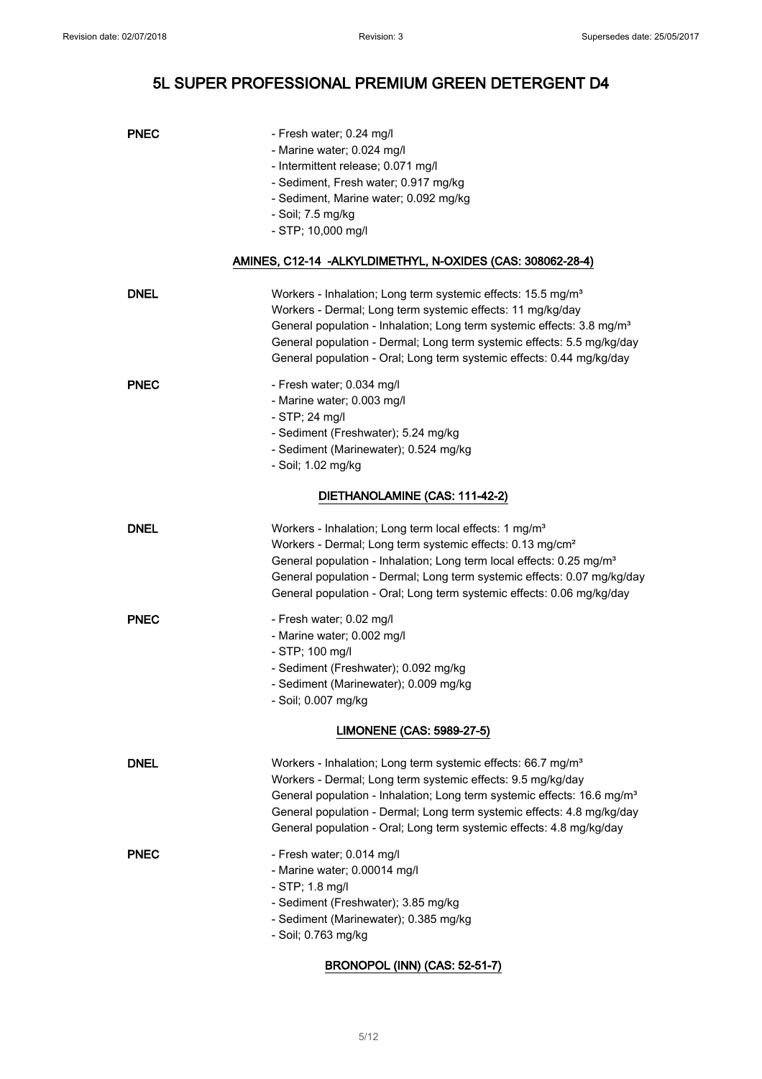| <b>PNEC</b> | - Fresh water; 0.24 mg/l<br>- Marine water; 0.024 mg/l<br>- Intermittent release; 0.071 mg/l<br>- Sediment, Fresh water; 0.917 mg/kg<br>- Sediment, Marine water; 0.092 mg/kg<br>- Soil; 7.5 mg/kg<br>$-$ STP; 10,000 mg/l<br>AMINES, C12-14 -ALKYLDIMETHYL, N-OXIDES (CAS: 308062-28-4)                                                                                            |
|-------------|-------------------------------------------------------------------------------------------------------------------------------------------------------------------------------------------------------------------------------------------------------------------------------------------------------------------------------------------------------------------------------------|
|             |                                                                                                                                                                                                                                                                                                                                                                                     |
| <b>DNEL</b> | Workers - Inhalation; Long term systemic effects: 15.5 mg/m <sup>3</sup><br>Workers - Dermal; Long term systemic effects: 11 mg/kg/day<br>General population - Inhalation; Long term systemic effects: 3.8 mg/m <sup>3</sup><br>General population - Dermal; Long term systemic effects: 5.5 mg/kg/day<br>General population - Oral; Long term systemic effects: 0.44 mg/kg/day     |
| <b>PNEC</b> | - Fresh water; 0.034 mg/l<br>- Marine water; 0.003 mg/l<br>- STP; 24 mg/l<br>- Sediment (Freshwater); 5.24 mg/kg<br>- Sediment (Marinewater); 0.524 mg/kg<br>- Soil; 1.02 mg/kg                                                                                                                                                                                                     |
|             | DIETHANOLAMINE (CAS: 111-42-2)                                                                                                                                                                                                                                                                                                                                                      |
| <b>DNEL</b> | Workers - Inhalation; Long term local effects: 1 mg/m <sup>3</sup><br>Workers - Dermal; Long term systemic effects: 0.13 mg/cm <sup>2</sup><br>General population - Inhalation; Long term local effects: 0.25 mg/m <sup>3</sup><br>General population - Dermal; Long term systemic effects: 0.07 mg/kg/day<br>General population - Oral; Long term systemic effects: 0.06 mg/kg/day |
| <b>PNEC</b> | - Fresh water; 0.02 mg/l<br>- Marine water; 0.002 mg/l<br>- STP; 100 mg/l<br>- Sediment (Freshwater); 0.092 mg/kg<br>- Sediment (Marinewater); 0.009 mg/kg<br>- Soil; 0.007 mg/kg                                                                                                                                                                                                   |
|             | LIMONENE (CAS: 5989-27-5)                                                                                                                                                                                                                                                                                                                                                           |
| <b>DNEL</b> | Workers - Inhalation; Long term systemic effects: 66.7 mg/m <sup>3</sup><br>Workers - Dermal; Long term systemic effects: 9.5 mg/kg/day<br>General population - Inhalation; Long term systemic effects: 16.6 mg/m <sup>3</sup><br>General population - Dermal; Long term systemic effects: 4.8 mg/kg/day<br>General population - Oral; Long term systemic effects: 4.8 mg/kg/day    |
| <b>PNEC</b> | - Fresh water; 0.014 mg/l<br>- Marine water; 0.00014 mg/l<br>$-$ STP; 1.8 mg/l<br>- Sediment (Freshwater); 3.85 mg/kg<br>- Sediment (Marinewater); 0.385 mg/kg<br>- Soil; 0.763 mg/kg                                                                                                                                                                                               |

### BRONOPOL (INN) (CAS: 52-51-7)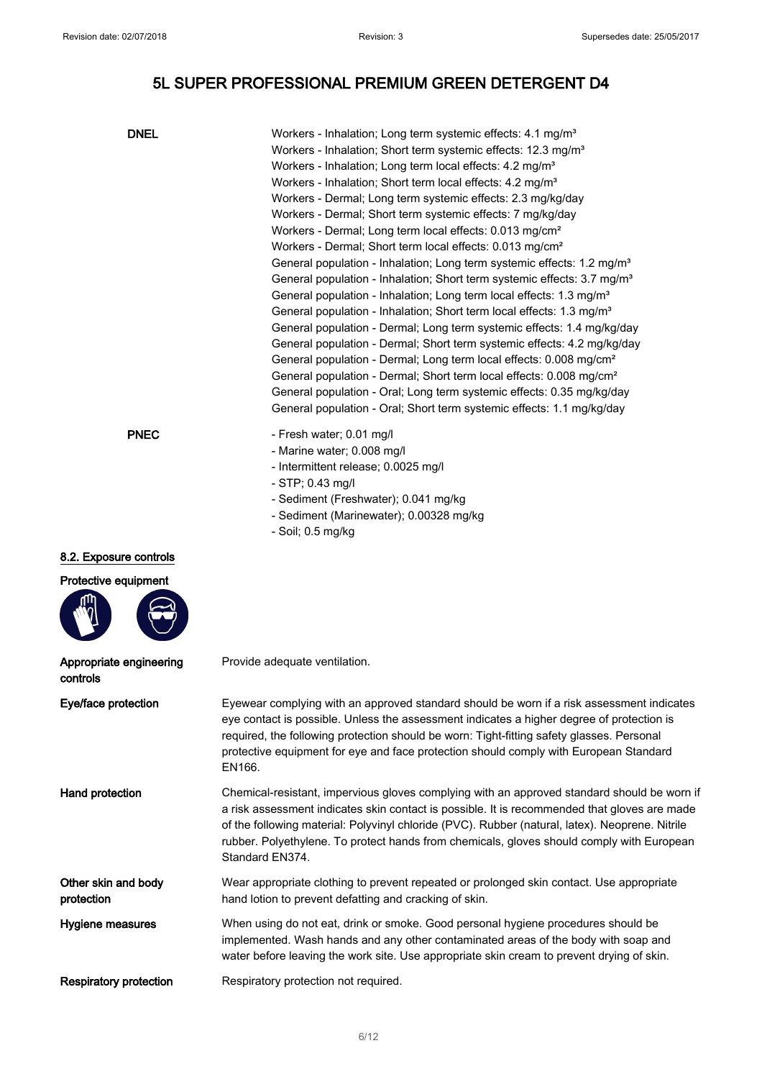| <b>DNEL</b>                                    | Workers - Inhalation; Long term systemic effects: 4.1 mg/m <sup>3</sup><br>Workers - Inhalation; Short term systemic effects: 12.3 mg/m <sup>3</sup><br>Workers - Inhalation; Long term local effects: 4.2 mg/m <sup>3</sup><br>Workers - Inhalation; Short term local effects: 4.2 mg/m <sup>3</sup><br>Workers - Dermal; Long term systemic effects: 2.3 mg/kg/day<br>Workers - Dermal; Short term systemic effects: 7 mg/kg/day<br>Workers - Dermal; Long term local effects: 0.013 mg/cm <sup>2</sup><br>Workers - Dermal; Short term local effects: 0.013 mg/cm <sup>2</sup><br>General population - Inhalation; Long term systemic effects: 1.2 mg/m <sup>3</sup><br>General population - Inhalation; Short term systemic effects: 3.7 mg/m <sup>3</sup><br>General population - Inhalation; Long term local effects: 1.3 mg/m <sup>3</sup><br>General population - Inhalation; Short term local effects: 1.3 mg/m <sup>3</sup><br>General population - Dermal; Long term systemic effects: 1.4 mg/kg/day<br>General population - Dermal; Short term systemic effects: 4.2 mg/kg/day<br>General population - Dermal; Long term local effects: 0.008 mg/cm <sup>2</sup><br>General population - Dermal; Short term local effects: 0.008 mg/cm <sup>2</sup><br>General population - Oral; Long term systemic effects: 0.35 mg/kg/day |  |
|------------------------------------------------|------------------------------------------------------------------------------------------------------------------------------------------------------------------------------------------------------------------------------------------------------------------------------------------------------------------------------------------------------------------------------------------------------------------------------------------------------------------------------------------------------------------------------------------------------------------------------------------------------------------------------------------------------------------------------------------------------------------------------------------------------------------------------------------------------------------------------------------------------------------------------------------------------------------------------------------------------------------------------------------------------------------------------------------------------------------------------------------------------------------------------------------------------------------------------------------------------------------------------------------------------------------------------------------------------------------------------------------|--|
| <b>PNEC</b>                                    | General population - Oral; Short term systemic effects: 1.1 mg/kg/day<br>- Fresh water; 0.01 mg/l<br>- Marine water; 0.008 mg/l<br>- Intermittent release; 0.0025 mg/l<br>- STP; 0.43 mg/l<br>- Sediment (Freshwater); 0.041 mg/kg<br>- Sediment (Marinewater); 0.00328 mg/kg<br>- Soil; 0.5 mg/kg                                                                                                                                                                                                                                                                                                                                                                                                                                                                                                                                                                                                                                                                                                                                                                                                                                                                                                                                                                                                                                       |  |
| 8.2. Exposure controls<br>Protective equipment |                                                                                                                                                                                                                                                                                                                                                                                                                                                                                                                                                                                                                                                                                                                                                                                                                                                                                                                                                                                                                                                                                                                                                                                                                                                                                                                                          |  |
| Appropriate engineering<br>controls            | Provide adequate ventilation.                                                                                                                                                                                                                                                                                                                                                                                                                                                                                                                                                                                                                                                                                                                                                                                                                                                                                                                                                                                                                                                                                                                                                                                                                                                                                                            |  |
| Eye/face protection                            | Eyewear complying with an approved standard should be worn if a risk assessment indicates<br>eye contact is possible. Unless the assessment indicates a higher degree of protection is<br>required, the following protection should be worn: Tight-fitting safety glasses. Personal<br>protective equipment for eye and face protection should comply with European Standard<br>EN166.                                                                                                                                                                                                                                                                                                                                                                                                                                                                                                                                                                                                                                                                                                                                                                                                                                                                                                                                                   |  |
| Hand protection                                | Chemical-resistant, impervious gloves complying with an approved standard should be worn if<br>a risk assessment indicates skin contact is possible. It is recommended that gloves are made<br>of the following material: Polyvinyl chloride (PVC). Rubber (natural, latex). Neoprene. Nitrile<br>rubber. Polyethylene. To protect hands from chemicals, gloves should comply with European<br>Standard EN374.                                                                                                                                                                                                                                                                                                                                                                                                                                                                                                                                                                                                                                                                                                                                                                                                                                                                                                                           |  |
| Other skin and body<br>protection              | Wear appropriate clothing to prevent repeated or prolonged skin contact. Use appropriate<br>hand lotion to prevent defatting and cracking of skin.                                                                                                                                                                                                                                                                                                                                                                                                                                                                                                                                                                                                                                                                                                                                                                                                                                                                                                                                                                                                                                                                                                                                                                                       |  |
| Hygiene measures                               | When using do not eat, drink or smoke. Good personal hygiene procedures should be<br>implemented. Wash hands and any other contaminated areas of the body with soap and<br>water before leaving the work site. Use appropriate skin cream to prevent drying of skin.                                                                                                                                                                                                                                                                                                                                                                                                                                                                                                                                                                                                                                                                                                                                                                                                                                                                                                                                                                                                                                                                     |  |
| <b>Respiratory protection</b>                  | Respiratory protection not required.                                                                                                                                                                                                                                                                                                                                                                                                                                                                                                                                                                                                                                                                                                                                                                                                                                                                                                                                                                                                                                                                                                                                                                                                                                                                                                     |  |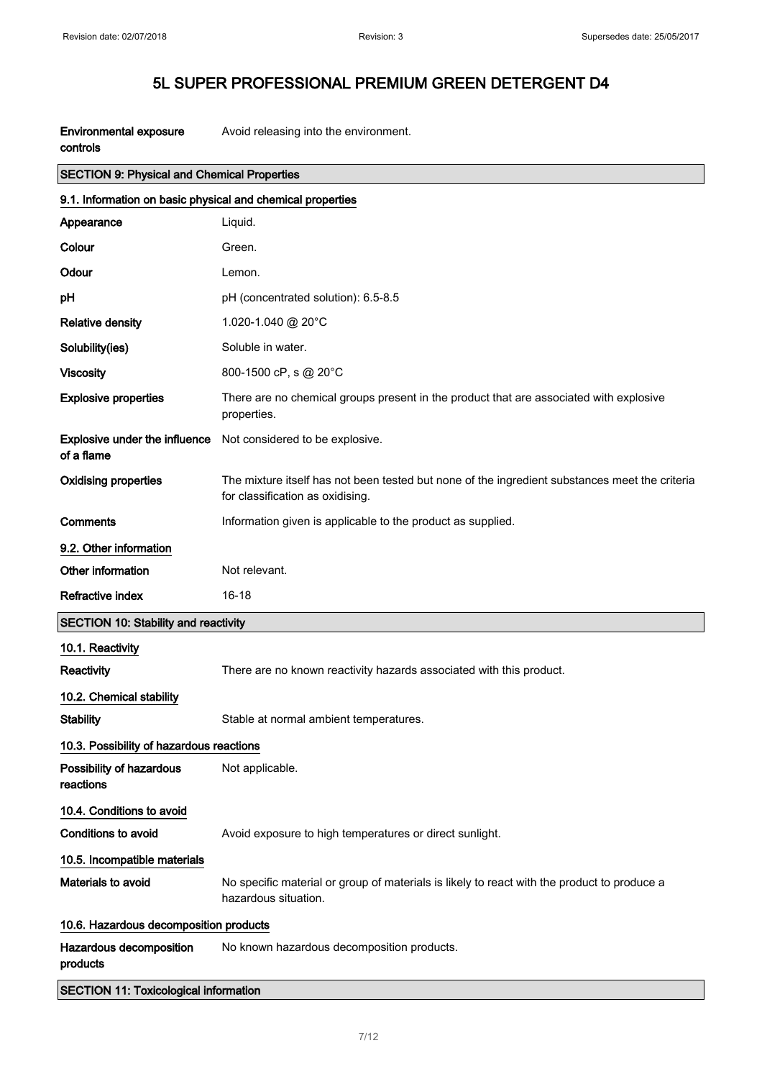| <b>Environmental exposure</b> | Avoid releasing into the environment. |
|-------------------------------|---------------------------------------|
| controls                      |                                       |

| <b>SECTION 9: Physical and Chemical Properties</b>         |                                                                                                                                    |  |
|------------------------------------------------------------|------------------------------------------------------------------------------------------------------------------------------------|--|
| 9.1. Information on basic physical and chemical properties |                                                                                                                                    |  |
| Appearance                                                 | Liquid.                                                                                                                            |  |
| Colour                                                     | Green.                                                                                                                             |  |
| Odour                                                      | Lemon.                                                                                                                             |  |
| pH                                                         | pH (concentrated solution): 6.5-8.5                                                                                                |  |
| <b>Relative density</b>                                    | 1.020-1.040 @ 20°C                                                                                                                 |  |
| Solubility(ies)                                            | Soluble in water.                                                                                                                  |  |
| <b>Viscosity</b>                                           | 800-1500 cP, s @ 20°C                                                                                                              |  |
| <b>Explosive properties</b>                                | There are no chemical groups present in the product that are associated with explosive<br>properties.                              |  |
| <b>Explosive under the influence</b><br>of a flame         | Not considered to be explosive.                                                                                                    |  |
| <b>Oxidising properties</b>                                | The mixture itself has not been tested but none of the ingredient substances meet the criteria<br>for classification as oxidising. |  |
| Comments                                                   | Information given is applicable to the product as supplied.                                                                        |  |
| 9.2. Other information                                     |                                                                                                                                    |  |
| Other information                                          | Not relevant.                                                                                                                      |  |
|                                                            |                                                                                                                                    |  |
| <b>Refractive index</b>                                    | 16-18                                                                                                                              |  |
| <b>SECTION 10: Stability and reactivity</b>                |                                                                                                                                    |  |
| 10.1. Reactivity                                           |                                                                                                                                    |  |
| Reactivity                                                 | There are no known reactivity hazards associated with this product.                                                                |  |
| 10.2. Chemical stability                                   |                                                                                                                                    |  |
| <b>Stability</b>                                           | Stable at normal ambient temperatures.                                                                                             |  |
| 10.3. Possibility of hazardous reactions                   |                                                                                                                                    |  |
| Possibility of hazardous<br>reactions                      | Not applicable.                                                                                                                    |  |
| 10.4. Conditions to avoid                                  |                                                                                                                                    |  |
| <b>Conditions to avoid</b>                                 | Avoid exposure to high temperatures or direct sunlight.                                                                            |  |
| 10.5. Incompatible materials                               |                                                                                                                                    |  |
| Materials to avoid                                         | No specific material or group of materials is likely to react with the product to produce a<br>hazardous situation.                |  |
| 10.6. Hazardous decomposition products                     |                                                                                                                                    |  |
| Hazardous decomposition<br>products                        | No known hazardous decomposition products.                                                                                         |  |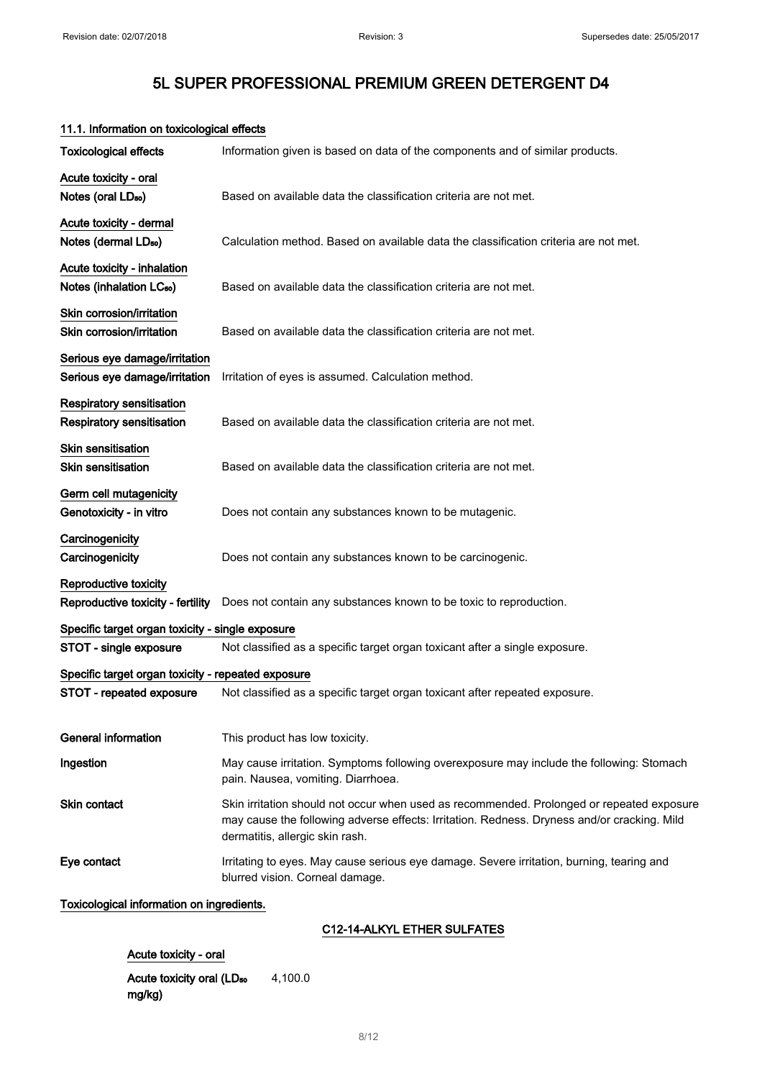# Toxicological effects Information given is based on data of the components and of similar products. Acute toxicity - oral Notes (oral LD<sub>so</sub>) Based on available data the classification criteria are not met. Acute toxicity - dermal Notes (dermal LD<sub>so</sub>) Calculation method. Based on available data the classification criteria are not met. Acute toxicity - inhalation Notes (inhalation LC<sub>50</sub>) Based on available data the classification criteria are not met. Skin corrosion/irritation Skin corrosion/irritation Based on available data the classification criteria are not met. Serious eye damage/irritation Serious eye damage/irritation Irritation of eyes is assumed. Calculation method. Respiratory sensitisation Respiratory sensitisation Based on available data the classification criteria are not met. Skin sensitisation **Skin sensitisation** Based on available data the classification criteria are not met. Germ cell mutagenicity Genotoxicity - in vitro **Does not contain any substances known to be mutagenic. Carcinogenicity** Carcinogenicity **Does not contain any substances known to be carcinogenic.** Reproductive toxicity Reproductive toxicity - fertility Does not contain any substances known to be toxic to reproduction. Specific target organ toxicity - single exposure STOT - single exposure Not classified as a specific target organ toxicant after a single exposure. Specific target organ toxicity - repeated exposure STOT - repeated exposure Not classified as a specific target organ toxicant after repeated exposure. General information This product has low toxicity. Ingestion **May cause irritation.** Symptoms following overexposure may include the following: Stomach pain. Nausea, vomiting. Diarrhoea. Skin contact Skin irritation should not occur when used as recommended. Prolonged or repeated exposure may cause the following adverse effects: Irritation. Redness. Dryness and/or cracking. Mild dermatitis, allergic skin rash. Eye contact **Inter Irritating to eyes. May cause serious eye damage. Severe irritation, burning, tearing and** blurred vision. Corneal damage. Toxicological information on ingredients. C12-14-ALKYL ETHER SULFATES

#### 11.1. Information on toxicological effects

Acute toxicity - oral

Acute toxicity oral (LD<sub>50</sub> mg/kg) 4,100.0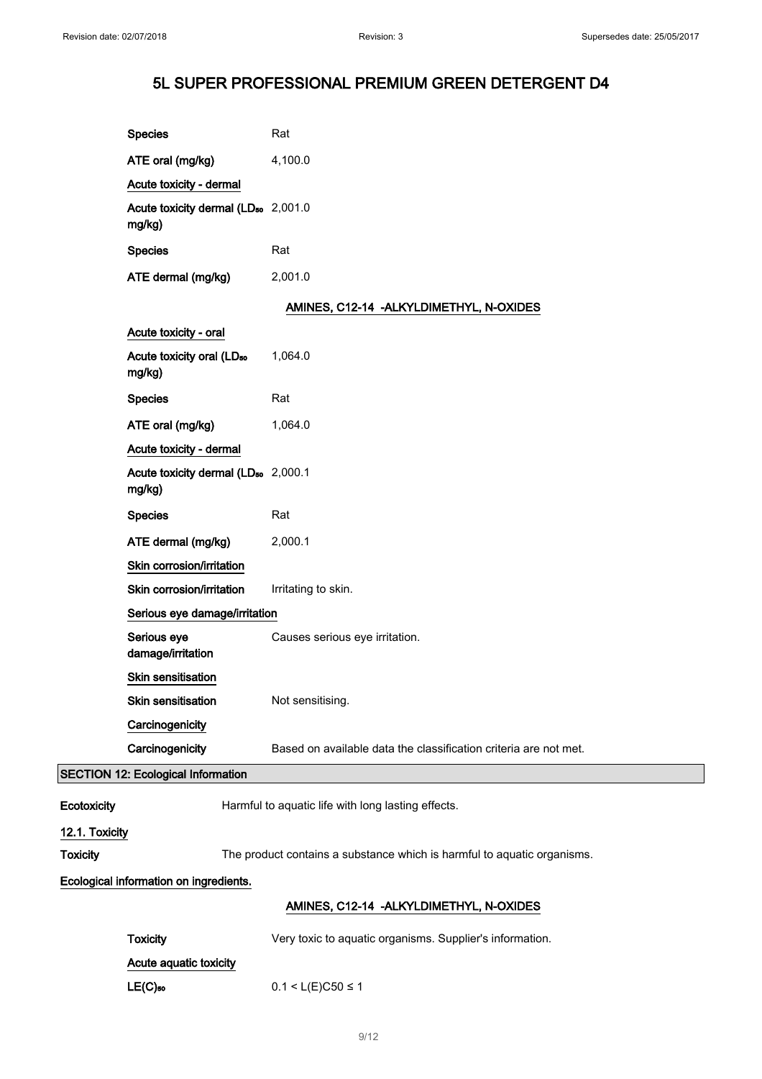|                 | <b>Species</b>                                            | Rat                                                                     |
|-----------------|-----------------------------------------------------------|-------------------------------------------------------------------------|
|                 | ATE oral (mg/kg)                                          | 4,100.0                                                                 |
|                 | Acute toxicity - dermal                                   |                                                                         |
|                 | Acute toxicity dermal (LD <sub>50</sub> 2,001.0<br>mg/kg) |                                                                         |
|                 | <b>Species</b>                                            | Rat                                                                     |
|                 | ATE dermal (mg/kg)                                        | 2,001.0                                                                 |
|                 |                                                           | AMINES, C12-14 - ALKYLDIMETHYL, N-OXIDES                                |
|                 | Acute toxicity - oral                                     |                                                                         |
|                 | Acute toxicity oral (LD <sub>50</sub><br>mg/kg)           | 1,064.0                                                                 |
|                 | <b>Species</b>                                            | Rat                                                                     |
|                 | ATE oral (mg/kg)                                          | 1,064.0                                                                 |
|                 | Acute toxicity - dermal                                   |                                                                         |
|                 | Acute toxicity dermal (LD <sub>50</sub> 2,000.1<br>mg/kg) |                                                                         |
|                 | <b>Species</b>                                            | Rat                                                                     |
|                 | ATE dermal (mg/kg)                                        | 2,000.1                                                                 |
|                 | Skin corrosion/irritation                                 |                                                                         |
|                 | Skin corrosion/irritation                                 | Irritating to skin.                                                     |
|                 | Serious eye damage/irritation                             |                                                                         |
|                 | Serious eye<br>damage/irritation                          | Causes serious eye irritation.                                          |
|                 | Skin sensitisation                                        |                                                                         |
|                 | Skin sensitisation                                        | Not sensitising.                                                        |
|                 | Carcinogenicity                                           |                                                                         |
|                 | Carcinogenicity                                           | Based on available data the classification criteria are not met.        |
|                 | <b>SECTION 12: Ecological Information</b>                 |                                                                         |
| Ecotoxicity     |                                                           | Harmful to aquatic life with long lasting effects.                      |
| 12.1. Toxicity  |                                                           |                                                                         |
| <b>Toxicity</b> |                                                           | The product contains a substance which is harmful to aquatic organisms. |
|                 | Ecological information on ingredients.                    |                                                                         |
|                 |                                                           | AMINES, C12-14 - ALKYLDIMETHYL, N-OXIDES                                |
|                 | <b>Toxicity</b>                                           | Very toxic to aquatic organisms. Supplier's information.                |

Acute aquatic toxicity

**LE(C)**so 0.1 < L(E)C50 ≤ 1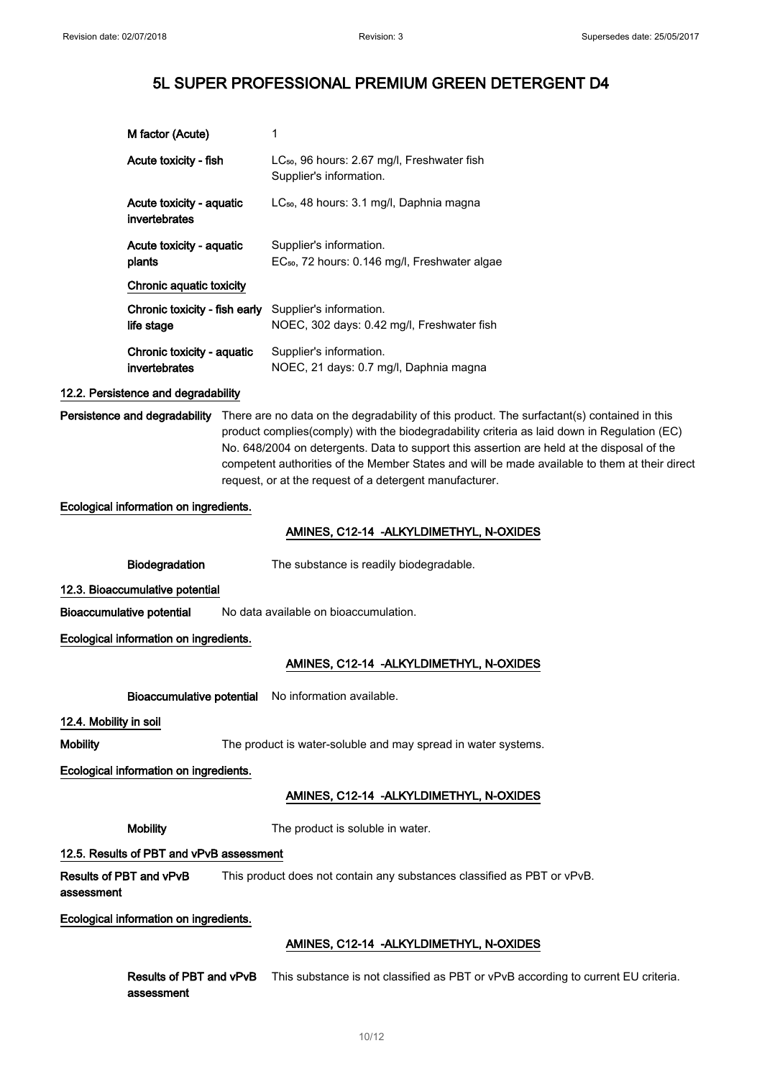| M factor (Acute)                            | 1                                                                                    |
|---------------------------------------------|--------------------------------------------------------------------------------------|
| Acute toxicity - fish                       | LC <sub>50</sub> , 96 hours: 2.67 mg/l, Freshwater fish<br>Supplier's information.   |
| Acute toxicity - aquatic<br>invertebrates   | LC <sub>50</sub> , 48 hours: 3.1 mg/l, Daphnia magna                                 |
| Acute toxicity - aquatic<br>plants          | Supplier's information.<br>EC <sub>50</sub> , 72 hours: 0.146 mg/l, Freshwater algae |
| Chronic aquatic toxicity                    |                                                                                      |
| Chronic toxicity - fish early<br>life stage | Supplier's information.<br>NOEC, 302 days: 0.42 mg/l, Freshwater fish                |
| Chronic toxicity - aquatic<br>invertebrates | Supplier's information.<br>NOEC, 21 days: 0.7 mg/l, Daphnia magna                    |

#### 12.2. Persistence and degradability

Persistence and degradability There are no data on the degradability of this product. The surfactant(s) contained in this product complies(comply) with the biodegradability criteria as laid down in Regulation (EC) No. 648/2004 on detergents. Data to support this assertion are held at the disposal of the competent authorities of the Member States and will be made available to them at their direct request, or at the request of a detergent manufacturer.

#### Ecological information on ingredients.

#### AMINES, C12-14 -ALKYLDIMETHYL, N-OXIDES

Biodegradation The substance is readily biodegradable.

12.3. Bioaccumulative potential

Bioaccumulative potential No data available on bioaccumulation.

Ecological information on ingredients.

### AMINES, C12-14 -ALKYLDIMETHYL, N-OXIDES

Bioaccumulative potential No information available.

#### 12.4. Mobility in soil

Mobility The product is water-soluble and may spread in water systems.

#### Ecological information on ingredients.

### AMINES, C12-14 -ALKYLDIMETHYL, N-OXIDES

Mobility The product is soluble in water.

#### 12.5. Results of PBT and vPvB assessment

Results of PBT and vPvB assessment This product does not contain any substances classified as PBT or vPvB.

Ecological information on ingredients.

### AMINES, C12-14 -ALKYLDIMETHYL, N-OXIDES

Results of PBT and vPvB This substance is not classified as PBT or vPvB according to current EU criteria. assessment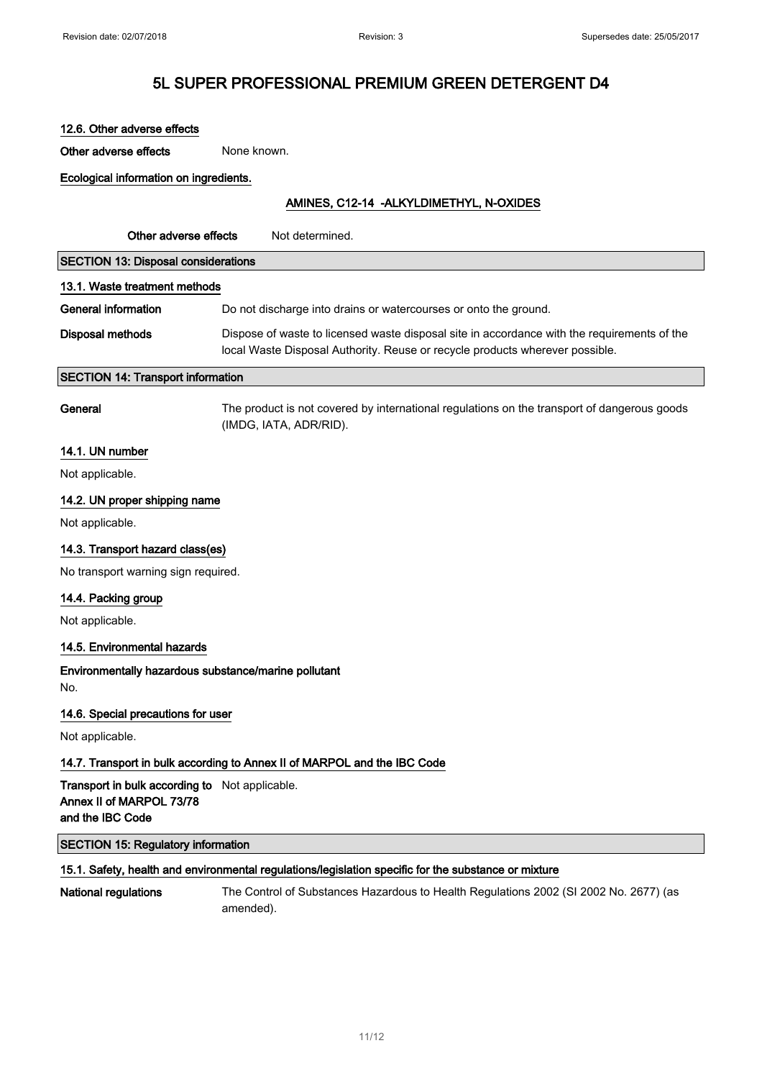| 12.6. Other adverse effects                                                                          |                                                                                                                                                                             |  |
|------------------------------------------------------------------------------------------------------|-----------------------------------------------------------------------------------------------------------------------------------------------------------------------------|--|
| Other adverse effects                                                                                | None known.                                                                                                                                                                 |  |
| Ecological information on ingredients.                                                               |                                                                                                                                                                             |  |
| AMINES, C12-14 - ALKYLDIMETHYL, N-OXIDES                                                             |                                                                                                                                                                             |  |
| Other adverse effects                                                                                | Not determined.                                                                                                                                                             |  |
| <b>SECTION 13: Disposal considerations</b>                                                           |                                                                                                                                                                             |  |
| 13.1. Waste treatment methods                                                                        |                                                                                                                                                                             |  |
| <b>General information</b>                                                                           | Do not discharge into drains or watercourses or onto the ground.                                                                                                            |  |
| <b>Disposal methods</b>                                                                              | Dispose of waste to licensed waste disposal site in accordance with the requirements of the<br>local Waste Disposal Authority. Reuse or recycle products wherever possible. |  |
| <b>SECTION 14: Transport information</b>                                                             |                                                                                                                                                                             |  |
| General                                                                                              | The product is not covered by international regulations on the transport of dangerous goods<br>(IMDG, IATA, ADR/RID).                                                       |  |
| 14.1. UN number                                                                                      |                                                                                                                                                                             |  |
| Not applicable.                                                                                      |                                                                                                                                                                             |  |
| 14.2. UN proper shipping name                                                                        |                                                                                                                                                                             |  |
| Not applicable.                                                                                      |                                                                                                                                                                             |  |
| 14.3. Transport hazard class(es)                                                                     |                                                                                                                                                                             |  |
| No transport warning sign required.                                                                  |                                                                                                                                                                             |  |
| 14.4. Packing group                                                                                  |                                                                                                                                                                             |  |
| Not applicable.                                                                                      |                                                                                                                                                                             |  |
| 14.5. Environmental hazards                                                                          |                                                                                                                                                                             |  |
| Environmentally hazardous substance/marine pollutant<br>No.                                          |                                                                                                                                                                             |  |
| 14.6. Special precautions for user                                                                   |                                                                                                                                                                             |  |
| Not applicable.                                                                                      |                                                                                                                                                                             |  |
| 14.7. Transport in bulk according to Annex II of MARPOL and the IBC Code                             |                                                                                                                                                                             |  |
| Transport in bulk according to Not applicable.<br>Annex II of MARPOL 73/78<br>and the IBC Code       |                                                                                                                                                                             |  |
| <b>SECTION 15: Regulatory information</b>                                                            |                                                                                                                                                                             |  |
| 15.1. Safety, health and environmental regulations/legislation specific for the substance or mixture |                                                                                                                                                                             |  |
| <b>National regulations</b>                                                                          | The Control of Substances Hazardous to Health Regulations 2002 (SI 2002 No. 2677) (as<br>amended).                                                                          |  |
|                                                                                                      |                                                                                                                                                                             |  |